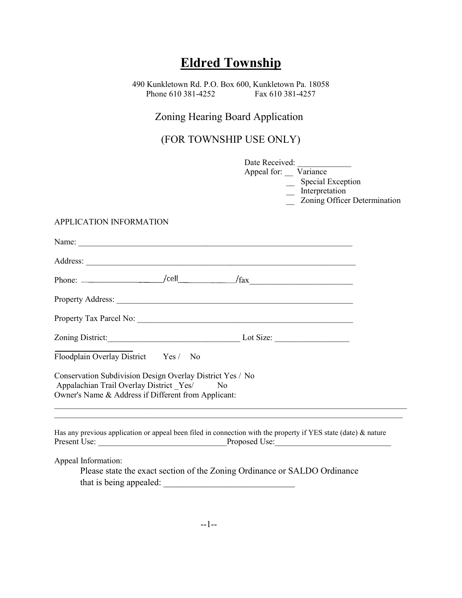# **Eldred Township**

490 Kunkletown Rd. P.O. Box 600, Kunkletown Pa. 18058 Phone 610 381-4252 Fax 610 381-4257

## Zoning Hearing Board Application

(FOR TOWNSHIP USE ONLY)

|                                                                                                                | Date Received:<br>Appeal for: Variance<br><b>Special Exception</b><br>$\overline{\phantom{a}}$ Interpretation<br>Zoning Officer Determination |
|----------------------------------------------------------------------------------------------------------------|-----------------------------------------------------------------------------------------------------------------------------------------------|
| APPLICATION INFORMATION                                                                                        |                                                                                                                                               |
|                                                                                                                |                                                                                                                                               |
| Address:                                                                                                       |                                                                                                                                               |
| Phone: $\angle$ cell $\angle$ fax                                                                              |                                                                                                                                               |
| Property Address: 2008. 2008. 2009. 2010. 2010. 2010. 2010. 2010. 2010. 2010. 2010. 2010. 2010. 2010. 2010. 20 |                                                                                                                                               |
| Property Tax Parcel No:                                                                                        |                                                                                                                                               |

# APPLICATION INFORMATI

| Zoning District: | Lot Size: |  |
|------------------|-----------|--|
|                  |           |  |

| Floodplain Overlay District<br>Yes / | No |
|--------------------------------------|----|
|--------------------------------------|----|

Conservation Subdivision Design Overlay District Yes / No Appalachian Trail Overlay District Yes/ No Owner's Name & Address if Different from Applicant:  $\mathcal{L}_\mathcal{L} = \{ \mathcal{L}_\mathcal{L} = \{ \mathcal{L}_\mathcal{L} = \{ \mathcal{L}_\mathcal{L} = \{ \mathcal{L}_\mathcal{L} = \{ \mathcal{L}_\mathcal{L} = \{ \mathcal{L}_\mathcal{L} = \{ \mathcal{L}_\mathcal{L} = \{ \mathcal{L}_\mathcal{L} = \{ \mathcal{L}_\mathcal{L} = \{ \mathcal{L}_\mathcal{L} = \{ \mathcal{L}_\mathcal{L} = \{ \mathcal{L}_\mathcal{L} = \{ \mathcal{L}_\mathcal{L} = \{ \mathcal{L}_\mathcal{$ 

Has any previous application or appeal been filed in connection with the property if YES state (date) & nature Present Use: \_\_\_\_\_\_\_\_\_\_\_\_\_\_\_\_\_\_\_\_\_\_\_\_\_\_\_\_\_\_\_Proposed Use:\_\_\_\_\_\_\_\_\_\_\_\_\_\_\_\_\_\_\_\_\_\_\_\_\_\_\_\_

Appeal Information:

Please state the exact section of the Zoning Ordinance or SALDO Ordinance that is being appealed: